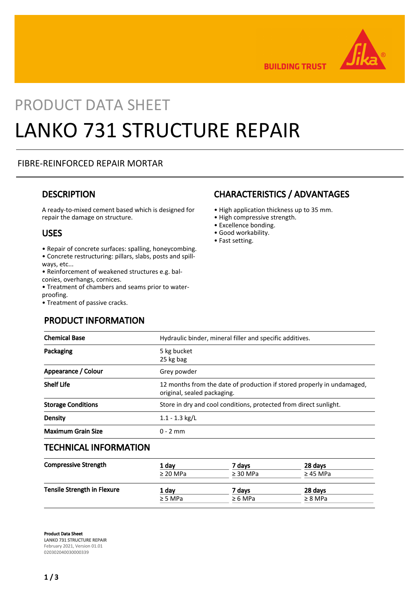

**BUILDING TRUST** 

# PRODUCT DATA SHEET LANKO 731 STRUCTURE REPAIR

#### FIBRE-REINFORCED REPAIR MORTAR

### **DESCRIPTION**

A ready-to-mixed cement based which is designed for repair the damage on structure.

#### USES

- Repair of concrete surfaces: spalling, honeycombing.
- Concrete restructuring: pillars, slabs, posts and spillways, etc...
- Reinforcement of weakened structures e.g. balconies, overhangs, cornices.
- Treatment of chambers and seams prior to waterproofing.
- Treatment of passive cracks.

PRODUCT INFORMATION

# CHARACTERISTICS / ADVANTAGES

- High application thickness up to 35 mm.
- High compressive strength.
- Excellence bonding.
- Good workability.
- Fast setting.

| <b>Chemical Base</b>      | Hydraulic binder, mineral filler and specific additives.                                              |  |
|---------------------------|-------------------------------------------------------------------------------------------------------|--|
| Packaging                 | 5 kg bucket<br>25 kg bag                                                                              |  |
| Appearance / Colour       | Grey powder                                                                                           |  |
| <b>Shelf Life</b>         | 12 months from the date of production if stored properly in undamaged,<br>original, sealed packaging. |  |
| <b>Storage Conditions</b> | Store in dry and cool conditions, protected from direct sunlight.                                     |  |
| <b>Density</b>            | $1.1 - 1.3$ kg/L                                                                                      |  |
| <b>Maximum Grain Size</b> | $0 - 2$ mm                                                                                            |  |
|                           |                                                                                                       |  |

#### TECHNICAL INFORMATION

| <b>Compressive Strength</b>        | 1 day         | 7 davs        | 28 days       |
|------------------------------------|---------------|---------------|---------------|
|                                    | $\geq$ 20 MPa | $\geq$ 30 MPa | $\geq$ 45 MPa |
| <b>Tensile Strength in Flexure</b> | 1 day         | 7 davs        | 28 days       |
|                                    | $\geq$ 5 MPa  | $\geq 6$ MPa  | $\geq 8$ MPa  |
|                                    |               |               |               |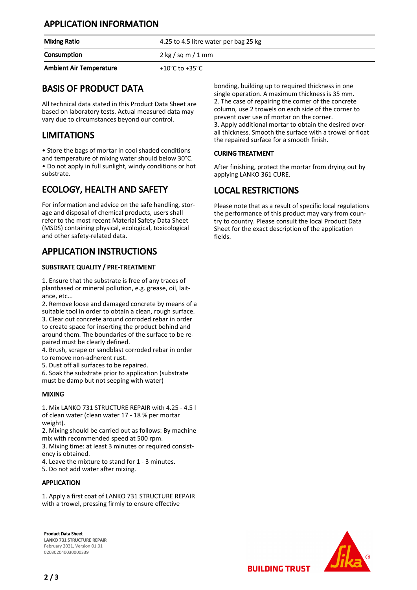## APPLICATION INFORMATION

| <b>Mixing Ratio</b>            | 4.25 to 4.5 litre water per bag 25 kg       |
|--------------------------------|---------------------------------------------|
| Consumption                    | $2 \text{ kg} / \text{sq m} / 1 \text{ mm}$ |
| <b>Ambient Air Temperature</b> | +10°C to +35°C                              |

## BASIS OF PRODUCT DATA

All technical data stated in this Product Data Sheet are based on laboratory tests. Actual measured data may vary due to circumstances beyond our control.

## LIMITATIONS

• Store the bags of mortar in cool shaded conditions and temperature of mixing water should below 30°C. • Do not apply in full sunlight, windy conditions or hot substrate.

# ECOLOGY, HEALTH AND SAFETY

For information and advice on the safe handling, storage and disposal of chemical products, users shall refer to the most recent Material Safety Data Sheet (MSDS) containing physical, ecological, toxicological and other safety-related data.

## APPLICATION INSTRUCTIONS

#### SUBSTRATE QUALITY / PRE-TREATMENT

1. Ensure that the substrate is free of any traces of plantbased or mineral pollution, e.g. grease, oil, laitance, etc...

2. Remove loose and damaged concrete by means of a suitable tool in order to obtain a clean, rough surface. 3. Clear out concrete around corroded rebar in order to create space for inserting the product behind and around them. The boundaries of the surface to be repaired must be clearly defined.

4. Brush, scrape or sandblast corroded rebar in order to remove non-adherent rust.

5. Dust off all surfaces to be repaired.

6. Soak the substrate prior to application (substrate must be damp but not seeping with water)

#### MIXING

1. Mix LANKO 731 STRUCTURE REPAIR with 4.25 - 4.5 l of clean water (clean water 17 - 18 % per mortar weight).

2. Mixing should be carried out as follows: By machine mix with recommended speed at 500 rpm.

3. Mixing time: at least 3 minutes or required consistency is obtained.

4. Leave the mixture to stand for 1 - 3 minutes.

5. Do not add water after mixing.

#### APPLICATION

1. Apply a first coat of LANKO 731 STRUCTURE REPAIR with a trowel, pressing firmly to ensure effective

Product Data Sheet LANKO 731 STRUCTURE REPAIR February 2021, Version 01.01 020302040030000339

bonding, building up to required thickness in one single operation. A maximum thickness is 35 mm. 2. The case of repairing the corner of the concrete column, use 2 trowels on each side of the corner to prevent over use of mortar on the corner. 3. Apply additional mortar to obtain the desired overall thickness. Smooth the surface with a trowel or float the repaired surface for a smooth finish.

#### CURING TREATMENT

After finishing, protect the mortar from drying out by applying LANKO 361 CURE.

# LOCAL RESTRICTIONS

Please note that as a result of specific local regulations the performance of this product may vary from country to country. Please consult the local Product Data Sheet for the exact description of the application fields.